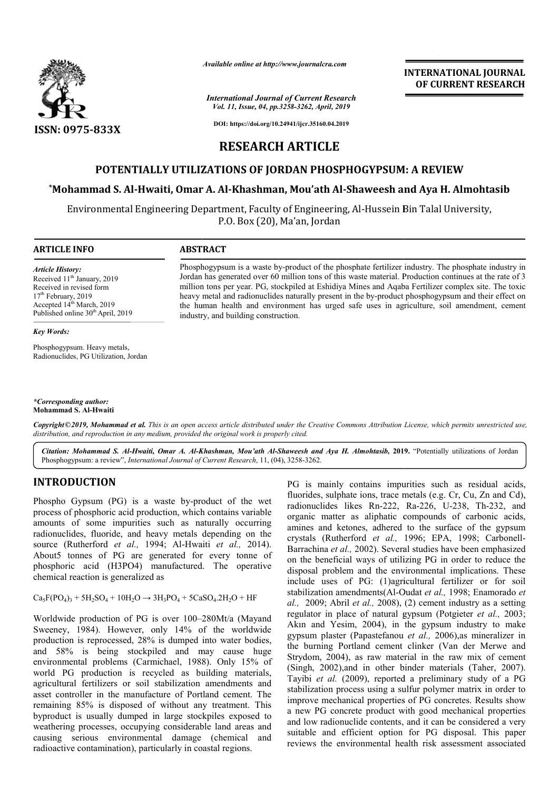

*Available online at http://www.journalcra.com*

#### *International Journal of Current Research Vol. 11, Issue, 04, pp.3258-3262, April, 2019*

**INTERNATIONAL JOURNAL OF CURRENT RESEARCH**

**DOI: https://doi.org/10.24941/ijcr.35160.04.2019**

# **RESEARCH ARTICLE**

## **POTENTIALLY UTILIZATIONS OF JORDAN PHOSPHOGYPSUM: A REVIEW**

# POTENTIALLY UTILIZATIONS OF JORDAN PHOSPHOGYPSUM: A REVIEW<br>Mohammad S. Al-Hwaiti, Omar A. Al-Khashman, Mou'ath Al-Shaweesh and Aya H. Almohtasib\*

Environmental Engineering Department, Faculty of Engineering, Al Al-Hussein Bin Talal University, Hussein P.O. Box (20), Ma'an, Jordan

> Phosphogypsum is a waste by by-product of the phosphate fertilizer industry. The phosphate industry in Jordan has generated over 60 million tons of this waste material. Production continues at the rate of 3 million tons per year. PG, stockpiled at Eshidiya Mines and Aqaba Fertilizer complex site. The toxic million tons per year. PG, stockpiled at Eshidiya Mines and Aqaba Fertilizer complex site. The toxic<br>heavy metal and radionuclides naturally present in the by-product phosphogypsum and their effect on the human health and environment has urged safe uses in agriculture, soil amendment, cement

> Phosphogypsum is a waste by-product of the phosphate fertilizer industry. The phosphate industry in Jordan has generated over 60 million tons of this waste material. Production continues at the rate of 3 million tons per y

#### **ARTICLE INFO ABSTRACT**

industry, and building construction.

*Article History:* Received 11<sup>th</sup> January, 2019 Received in revised form 17<sup>th</sup> February, 2019 Accepted 14<sup>th</sup> March, 2019 Published online 30<sup>th</sup> April, 2019

#### *Key Words:*

Phosphogypsum. Heavy metals, Radionuclides, PG Utilization, Jordan

*\*Corresponding author:* **Mohammad S. Al-Hwaiti**

Copyright©2019, Mohammad et al. This is an open access article distributed under the Creative Commons Attribution License, which permits unrestricted use, *distribution, and reproduction in any medium, provided the original work is properly cited.*

Citation: Mohammad S. Al-Hwaiti, Omar A. Al-Khashman, Mou'ath Al-Shaweesh and Aya H. Almohtasib, 2019. "Potentially utilizations of Jordan Phosphogypsum: a review", *International Journal of Current Research* , 11, (04), 3258-3262.

# **INTRODUCTION**

Phospho Gypsum (PG) is a waste by-product of the wet Phospho Gypsum (PG) is a waste by-product of the wet<br>process of phosphoric acid production, which contains variable amounts of some impurities such as naturally occurring radionuclides, fluoride, and heavy metals depending on the source (Rutherford *et al.*, 1994; Al-Hwaiti *et al.*, 2014). About5 tonnes of PG are generated for every tonne of phosphoric acid (H3PO4) manufactured. The operative chemical reaction is generalized as

 $Ca_5F(PO_4)_3 + 5H_2SO_4 + 10H_2O \rightarrow 3H_3PO_4 + 5CaSO_4.2H_2O + HF$ 

Worldwide production of PG is over 100-280Mt/a (Mayand Sweeney, 1984). However, only 14% of the worldwide production is reprocessed, 28% is dumped into water bodies, and 58% is being stockpiled and may cause huge environmental problems (Carmichael, 1988). Only 15% of world PG production is recycled as building materials, agricultural fertilizers or soil stabilization amendments and asset controller in the manufacture of Portland cement. The remaining 85% is disposed of without any treatment. This byproduct is usually dumped in large stockpiles exposed to weathering processes, occupying considerable land areas and causing serious environmental damage (chemical and radioactive contamination), particularly in coastal regions.

PG is mainly contains impurities such as residual acids, PG is mainly contains impurities such as residual acids, fluorides, sulphate ions, trace metals (e.g. Cr, Cu, Zn and Cd), radionuclides likes Rn-222, Ra 222, Ra-226, U-238, Th-232, and organic matter as aliphatic compounds of carbonic acids, organic matter as aliphatic compounds of carbonic acids, amines and ketones, adhered to the surface of the gypsum crystals (Rutherford et al., 1996; EPA, 1998; Carbonell-Barrachina *et al.,* 2002). Several studies have been emphasized Barrachina et al., 2002). Several studies have been emphasized on the beneficial ways of utilizing PG in order to reduce the disposal problem and the environmental implications. These include uses of PG: (1)agricultural fertilizer or for soil include uses of PG: (1)agricultural fertilizer or for soil stabilization amendments(Al-Oudat *et al.*, 1998; Enamorado *et al.,* 2009; Abril *et al.,* 2008), (2) cement industry as a setting regulator in place of natural gypsum (Potgieter et al., 2003; Akın and Yesim, 2004), in the gypsum industry to make 2004), gypsum plaster (Papastefanou *et al.,* 2006),as mineralizer in the burning Portland cement clinker (Van der Merwe and Strydom, 2004), as raw material in the raw mix of cement (Singh, 2002),and in other binder materials (Taher, 2007). Tayibi *et al.* (2009), reported a preliminary study of a PG stabilization process using a sulfur polymer matrix in order to improve mechanical properties of PG concretes. Results show a new PG concrete product with good mechanical properties and low radionuclide contents, and it can be considered a very suitable and efficient option for PG disposal. This paper reviews the environmental health risk assessment associated ment clinker (Van der Merwe<br>material in the raw mix of cer<br>er binder materials (Taher, 20 **INTERNATIONAL JOURNAL (SEE AT 1998)**<br> **INTERNATIONAL JOURNAL (SEE AT 1998)**<br> **ISON** 2.9 April 3.99<br> **ISON 2.94 April 3.99**<br> **ISON PHOGPHOGYPSUM: A REVIEW**<br> **ISON PHOGPHOGYPSUM: A REVIEW**<br> **MOU'ARH AL-Shaweesh and Aya H.**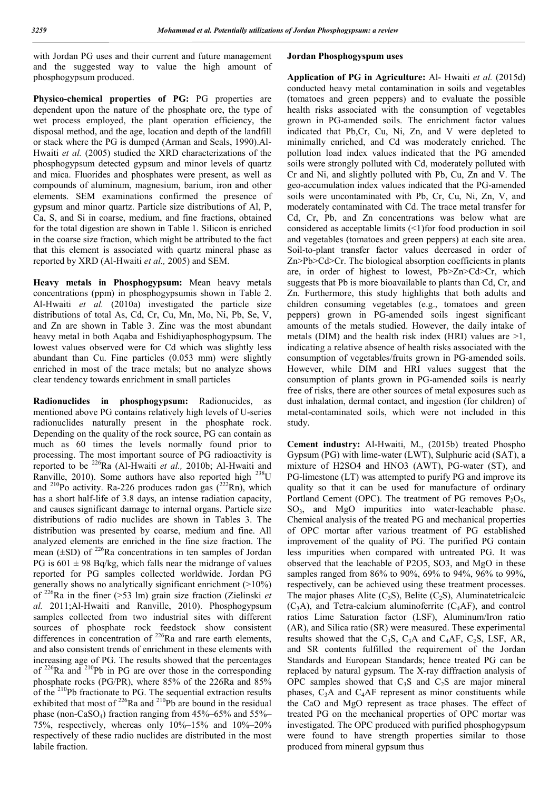with Jordan PG uses and their current and future management and the suggested way to value the high amount of phosphogypsum produced.

**Physico-chemical properties of PG:** PG properties are dependent upon the nature of the phosphate ore, the type of wet process employed, the plant operation efficiency, the disposal method, and the age, location and depth of the landfill or stack where the PG is dumped (Arman and Seals, 1990).Al-Hwaiti *et al.* (2005) studied the XRD characterizations of the phosphogypsum detected gypsum and minor levels of quartz and mica. Fluorides and phosphates were present, as well as compounds of aluminum, magnesium, barium, iron and other elements. SEM examinations confirmed the presence of gypsum and minor quartz. Particle size distributions of Al, P, Ca, S, and Si in coarse, medium, and fine fractions, obtained for the total digestion are shown in Table 1. Silicon is enriched in the coarse size fraction, which might be attributed to the fact that this element is associated with quartz mineral phase as reported by XRD (Al-Hwaiti *et al.,* 2005) and SEM.

**Heavy metals in Phosphogypsum:** Mean heavy metals concentrations (ppm) in phosphogypsumis shown in Table 2. Al-Hwaiti *et al.* (2010a) investigated the particle size distributions of total As, Cd, Cr, Cu, Mn, Mo, Ni, Pb, Se, V, and Zn are shown in Table 3. Zinc was the most abundant heavy metal in both Aqaba and Eshidiyaphosphogypsum. The lowest values observed were for Cd which was slightly less abundant than Cu. Fine particles (0.053 mm) were slightly enriched in most of the trace metals; but no analyze shows clear tendency towards enrichment in small particles

**Radionuclides in phosphogypsum:** Radionucides, as mentioned above PG contains relatively high levels of U-series radionuclides naturally present in the phosphate rock. Depending on the quality of the rock source, PG can contain as much as 60 times the levels normally found prior to processing. The most important source of PG radioactivity is reported to be 226Ra (Al-Hwaiti *et al.,* 2010b; Al-Hwaiti and Ranville, 2010). Some authors have also reported high  $^{238}$ U and <sup>210</sup>Po activity. Ra-226 produces radon gas  $(^{222}Rn)$ , which has a short half-life of 3.8 days, an intense radiation capacity, and causes significant damage to internal organs. Particle size distributions of radio nuclides are shown in Tables 3. The distribution was presented by coarse, medium and fine. All analyzed elements are enriched in the fine size fraction. The mean  $(\pm SD)$  of <sup>226</sup>Ra concentrations in ten samples of Jordan PG is  $601 \pm 98$  Bq/kg, which falls near the midrange of values reported for PG samples collected worldwide. Jordan PG generally shows no analytically significant enrichment  $(>10\%)$ of 226Ra in the finer (>53 lm) grain size fraction (Zielinski *et al.* 2011;Al-Hwaiti and Ranville, 2010). Phosphogypsum samples collected from two industrial sites with different sources of phosphate rock feedstock show consistent differences in concentration of  $^{226}$ Ra and rare earth elements, and also consistent trends of enrichment in these elements with increasing age of PG. The results showed that the percentages of  $^{226}$ Ra and  $^{210}$ Pb in PG are over those in the corresponding phosphate rocks (PG/PR), where 85% of the 226Ra and 85% of the 210Pb fractionate to PG. The sequential extraction results exhibited that most of  $^{226}$ Ra and  $^{210}$ Pb are bound in the residual phase (non-CaSO<sub>4</sub>) fraction ranging from  $45\% - 65\%$  and  $55\% -$ 75%, respectively, whereas only 10%–15% and 10%–20% respectively of these radio nuclides are distributed in the most labile fraction.

#### **Jordan Phosphogyspum uses**

**Application of PG in Agriculture:** Al- Hwaiti *et al.* (2015d) conducted heavy metal contamination in soils and vegetables (tomatoes and green peppers) and to evaluate the possible health risks associated with the consumption of vegetables grown in PG-amended soils. The enrichment factor values indicated that Pb,Cr, Cu, Ni, Zn, and V were depleted to minimally enriched, and Cd was moderately enriched. The pollution load index values indicated that the PG amended soils were strongly polluted with Cd, moderately polluted with Cr and Ni, and slightly polluted with Pb, Cu, Zn and V. The geo-accumulation index values indicated that the PG-amended soils were uncontaminated with Pb, Cr, Cu, Ni, Zn, V, and moderately contaminated with Cd. The trace metal transfer for Cd, Cr, Pb, and Zn concentrations was below what are considered as acceptable limits  $(\leq 1)$  for food production in soil and vegetables (tomatoes and green peppers) at each site area. Soil-to-plant transfer factor values decreased in order of Zn>Pb>Cd>Cr. The biological absorption coefficients in plants are, in order of highest to lowest, Pb>Zn>Cd>Cr, which suggests that Pb is more bioavailable to plants than Cd, Cr, and Zn. Furthermore, this study highlights that both adults and children consuming vegetables (e.g., tomatoes and green peppers) grown in PG-amended soils ingest significant amounts of the metals studied. However, the daily intake of metals (DIM) and the health risk index (HRI) values are  $>1$ , indicating a relative absence of health risks associated with the consumption of vegetables/fruits grown in PG-amended soils. However, while DIM and HRI values suggest that the consumption of plants grown in PG-amended soils is nearly free of risks, there are other sources of metal exposures such as dust inhalation, dermal contact, and ingestion (for children) of metal-contaminated soils, which were not included in this study.

**Cement industry:** Al-Hwaiti, M., (2015b) treated Phospho Gypsum (PG) with lime-water (LWT), Sulphuric acid (SAT), a mixture of H2SO4 and HNO3 (AWT), PG-water (ST), and PG-limestone (LT) was attempted to purify PG and improve its quality so that it can be used for manufacture of ordinary Portland Cement (OPC). The treatment of PG removes  $P_2O_5$ , SO<sub>3</sub>, and MgO impurities into water-leachable phase. Chemical analysis of the treated PG and mechanical properties of OPC mortar after various treatment of PG established improvement of the quality of PG. The purified PG contain less impurities when compared with untreated PG. It was observed that the leachable of P2O5, SO3, and MgO in these samples ranged from 86% to 90%, 69% to 94%, 96% to 99%, respectively, can be achieved using these treatment processes. The major phases Alite  $(C_3S)$ , Belite  $(C_2S)$ , Aluminatetricalcic  $(C_3A)$ , and Tetra-calcium aluminoferrite  $(C_4AF)$ , and control ratios Lime Saturation factor (LSF), Aluminum/Iron ratio (AR), and Silica ratio (SR) were measured. These experimental results showed that the C<sub>3</sub>S, C<sub>3</sub>A and C<sub>4</sub>AF, C<sub>2</sub>S, LSF, AR, and SR contents fulfilled the requirement of the Jordan Standards and European Standards; hence treated PG can be replaced by natural gypsum. The X-ray diffraction analysis of OPC samples showed that  $C_3S$  and  $C_2S$  are major mineral phases,  $C_3A$  and  $C_4AF$  represent as minor constituents while the CaO and MgO represent as trace phases. The effect of treated PG on the mechanical properties of OPC mortar was investigated. The OPC produced with purified phosphogypsum were found to have strength properties similar to those produced from mineral gypsum thus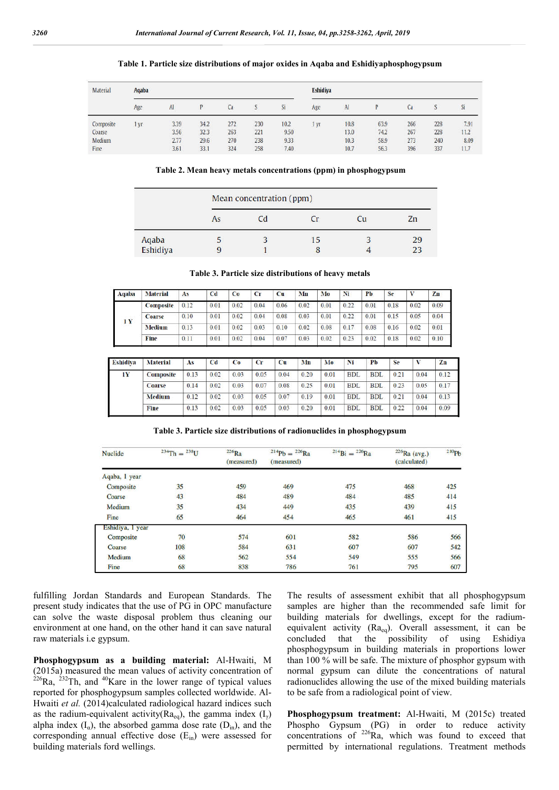| <b>Material</b> | Aqaba |      |      |     |                         | <b>Eshidiya</b>        |      |              |      |     |                    |                 |  |
|-----------------|-------|------|------|-----|-------------------------|------------------------|------|--------------|------|-----|--------------------|-----------------|--|
|                 | Age   | AI   |      | Ca  |                         | Si                     | Age  | $\mathbf{A}$ |      | Ca  |                    | $\overline{sl}$ |  |
| Composite       | l yr  | 3.39 | 34.2 | 272 | <b>April 200</b><br>230 | <b>SERVICE</b><br>10.2 | 1 yr | 10.8         | 63.9 | 266 | San Antonio<br>228 | 7.91            |  |
| Coarse          |       | 3.56 | 32.3 | 263 | 221                     | 9.50                   |      | 13.0         | 74.2 | 267 | 228                | 11.2            |  |
| Medium          |       | 2.77 | 29.6 | 270 | 238                     | 9.33                   |      | 10.3         | 58.9 | 273 | 240                | 8.09            |  |
| Fine            |       | 3.61 | 33.1 | 324 | 258                     | 7.40                   |      | 10.7         | 56.3 | 396 | 337                | 11.7            |  |

#### **Table 1. Particle size distributions of major oxides in Aqaba and Eshidiyaphosphogypsum**

**Table 2. Mean heavy metals concentrations (ppm) in phosphogypsum**

|                   | Mean concentration (ppm) |     |  |    |    |  |  |  |  |  |  |
|-------------------|--------------------------|-----|--|----|----|--|--|--|--|--|--|
|                   | As                       | C d |  | Cu | Zn |  |  |  |  |  |  |
|                   |                          |     |  |    | 29 |  |  |  |  |  |  |
| Aqaba<br>Eshidiya |                          |     |  |    | 23 |  |  |  |  |  |  |

**Table 3. Particle size distributions of heavy metals**

| Aqaba | <b>Material</b>  | As   | C <sub>d</sub> | Co   | $C_{\Gamma}$ | Cu   | Mn   | Mo   | Ni   | Pb   | Se   |      | Zn   |
|-------|------------------|------|----------------|------|--------------|------|------|------|------|------|------|------|------|
| 1 Y   | <b>Composite</b> | 0.12 | 0.01           | 0.02 | 0.04         | 0.06 | 0.02 | 0.01 | 0.22 | 0.01 | 0.18 | 0.02 | 0.09 |
|       | Coarse           | 0.10 | 0.01           | 0.02 | 0.04         | 0.08 | 0.03 | 0.01 | 0.22 | 0.01 | 0.15 | 0.05 | 0.04 |
|       | Medium           | 0.13 | 0.01           | 0.02 | 0.03         | 0.10 | 0.02 | 0.08 | 0.17 | 0.08 | 0.16 | 0.02 | 0.01 |
|       | Fine             | 0.11 | 0.01           | 0.02 | 0.04         | 0.07 | 0.03 | 0.02 | 0.23 | 0.02 | 0.18 | 0.02 | 0.10 |

| <b>Eshidiva</b> | <b>Material</b>  | As   | Cd   | Co   | Cr   | Cu   | Mn   | Mo   | Ni         | Pb         | Se   | v    | Zn   |
|-----------------|------------------|------|------|------|------|------|------|------|------------|------------|------|------|------|
| 1Y              | <b>Composite</b> | 0.13 | 0.02 | 0.03 | 0.05 | 0.04 | 0.20 | 0.01 | <b>BDL</b> | <b>BDL</b> | 0.21 | 0.04 | 0.12 |
|                 | <b>Coarse</b>    | 0.14 | 0.02 | 0.03 | 0.07 | 0.08 | 0.25 | 0.01 | <b>BDL</b> | <b>BDL</b> | 0.23 | 0.05 | 0.17 |
|                 | <b>Medium</b>    | 0.12 | 0.02 | 0.03 | 0.05 | 0.07 | 0.19 | 0.01 | <b>BDL</b> | <b>BDL</b> | 0.21 | 0.04 | 0.13 |
|                 | Fine             | 0.13 | 0.02 | 0.03 | 0.05 | 0.03 | 0.20 | 0.01 | <b>BDL</b> | <b>BDL</b> | 0.22 | 0.04 | 0.09 |

**Table 3. Particle size distributions of radionuclides in phosphogypsum**

| <b>Nuclide</b>   | $^{234}$ Th = $^{238}$ U | $226$ Ra<br>(measured) | $^{214}Pb = ^{226}Ra$<br>(measured) | $^{214}Bi = ^{226}Ra$ | $226$ Ra (avg.)<br>(calculated) | 210Pb |
|------------------|--------------------------|------------------------|-------------------------------------|-----------------------|---------------------------------|-------|
| Aqaba, I year    |                          |                        |                                     |                       |                                 |       |
| Composite        | 35                       | 459                    | 469                                 | 475                   | 468                             | 425   |
| Coarse           | 43                       | 484                    | 489                                 | 484                   | 485                             | 414   |
| Medium           | 35                       | 434                    | 449                                 | 435                   | 439                             | 415   |
| Fine             | 65                       | 464                    | 454                                 | 465                   | 461                             | 415   |
| Eshidiya, 1 year |                          |                        |                                     |                       |                                 |       |
| Composite        | 70                       | 574                    | 601                                 | 582                   | 586                             | 566   |
| Coarse           | 108                      | 584                    | 631                                 | 607                   | 607                             | 542   |
| Medium           | 68                       | 562                    | 554                                 | 549                   | 555                             | 566   |
| Fine             | 68                       | 838                    | 786                                 | 761                   | 795                             | 607   |

fulfilling Jordan Standards and European Standards. The present study indicates that the use of PG in OPC manufacture can solve the waste disposal problem thus cleaning our environment at one hand, on the other hand it can save natural raw materials i.e gypsum.

**Phosphogypsum as a building material:** Al-Hwaiti, M (2015a) measured the mean values of activity concentration of  $^{226}$ Ra,  $^{232}$ Th, and  $^{40}$ Kare in the lower range of typical values reported for phosphogypsum samples collected worldwide. Al-Hwaiti et al. (2014)calculated radiological hazard indices such as the radium-equivalent activity( $Ra_{eq}$ ), the gamma index (I<sub>γ</sub>) alpha index  $(I_{\alpha})$ , the absorbed gamma dose rate  $(D_{\text{in}})$ , and the corresponding annual effective dose  $(E_{in})$  were assessed for building materials ford wellings.

The results of assessment exhibit that all phosphogypsum samples are higher than the recommended safe limit for building materials for dwellings, except for the radiumequivalent activity (Ra<sub>eq</sub>). Overall assessment, it can be concluded that the possibility of using Eshidiya phosphogypsum in building materials in proportions lower than 100 % will be safe. The mixture of phosphor gypsum with normal gypsum can dilute the concentrations of natural radionuclides allowing the use of the mixed building materials to be safe from a radiological point of view.

**Phosphogypsum treatment:** Al-Hwaiti, M (2015c) treated Phospho Gypsum (PG) in order to reduce activity concentrations of  $226$ Ra, which was found to exceed that permitted by international regulations. Treatment methods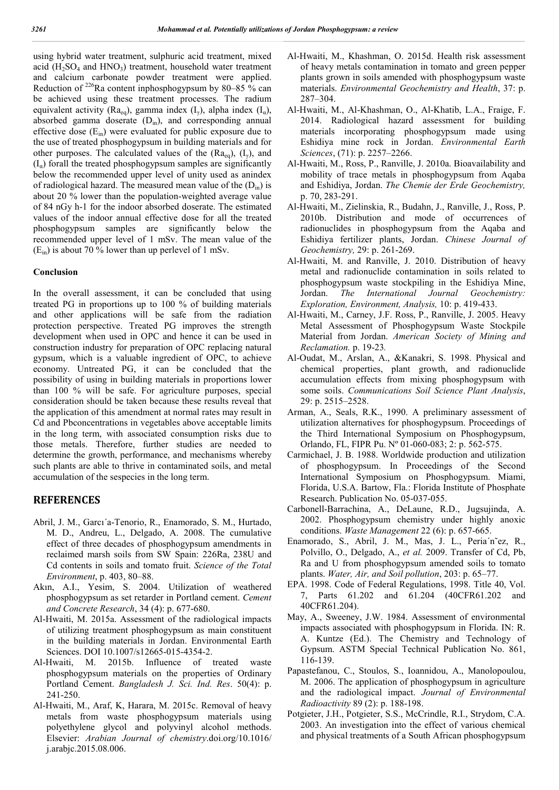using hybrid water treatment, sulphuric acid treatment, mixed acid  $(H_2SO_4$  and  $HNO_3)$  treatment, household water treatment and calcium carbonate powder treatment were applied. Reduction of <sup>226</sup>Ra content inphosphogypsum by 80–85 % can be achieved using these treatment processes. The radium equivalent activity (Ra<sub>eq</sub>), gamma index (I<sub>v</sub>), alpha index (I<sub>a</sub>), absorbed gamma doserate  $(D<sub>in</sub>)$ , and corresponding annual effective dose  $(E_{in})$  were evaluated for public exposure due to the use of treated phosphogypsum in building materials and for other purposes. The calculated values of the  $(Ra_{eq})$ ,  $(I_{\gamma})$ , and  $(I_{\alpha})$  forall the treated phosphogypsum samples are significantly below the recommended upper level of unity used as anindex of radiological hazard. The measured mean value of the  $(D<sub>in</sub>)$  is about 20 % lower than the population-weighted average value of 84 nGy h-1 for the indoor absorbed doserate. The estimated values of the indoor annual effective dose for all the treated phosphogypsum samples are significantly below the recommended upper level of 1 mSv. The mean value of the  $(E_{in})$  is about 70 % lower than up perlevel of 1 mSv.

#### **Conclusion**

In the overall assessment, it can be concluded that using treated PG in proportions up to 100 % of building materials and other applications will be safe from the radiation protection perspective. Treated PG improves the strength development when used in OPC and hence it can be used in construction industry for preparation of OPC replacing natural gypsum, which is a valuable ingredient of OPC, to achieve economy. Untreated PG, it can be concluded that the possibility of using in building materials in proportions lower than 100 % will be safe. For agriculture purposes, special consideration should be taken because these results reveal that the application of this amendment at normal rates may result in Cd and Pbconcentrations in vegetables above acceptable limits in the long term, with associated consumption risks due to those metals. Therefore, further studies are needed to determine the growth, performance, and mechanisms whereby such plants are able to thrive in contaminated soils, and metal accumulation of the sespecies in the long term.

### **REFERENCES**

- Abril, J. M., Garcı´a-Tenorio, R., Enamorado, S. M., Hurtado, M. D., Andreu, L., Delgado, A. 2008. The cumulative effect of three decades of phosphogypsum amendments in reclaimed marsh soils from SW Spain: 226Ra, 238U and Cd contents in soils and tomato fruit. *Science of the Total Environment*, p. 403, 80–88.
- Akın, A.I., Yesim, S. 2004. Utilization of weathered phosphogypsum as set retarder in Portland cement. *Cement and Concrete Research*, 34 (4): p. 677-680.
- Al-Hwaiti, M. 2015a. Assessment of the radiological impacts of utilizing treatment phosphogypsum as main constituent in the building materials in Jordan. Environmental Earth Sciences. DOI 10.1007/s12665-015-4354-2.
- Al-Hwaiti, M. 2015b. Influence of treated waste phosphogypsum materials on the properties of Ordinary Portland Cement. *Bangladesh J. Sci. Ind. Res*. 50(4): p. 241-250.
- Al-Hwaiti, M., Araf, K, Harara, M. 2015c. Removal of heavy metals from waste phosphogypsum materials using polyethylene glycol and polyvinyl alcohol methods. Elsevier: *Arabian Journal of chemistry*.doi.org/10.1016/ j.arabjc.2015.08.006.
- Al-Hwaiti, M., Khashman, O. 2015d. Health risk assessment of heavy metals contamination in tomato and green pepper plants grown in soils amended with phosphogypsum waste materials. *Environmental Geochemistry and Health*, 37: p. 287–304.
- Al-Hwaiti, M., Al-Khashman, O., Al-Khatib, L.A., Fraige, F. 2014. Radiological hazard assessment for building materials incorporating phosphogypsum made using Eshidiya mine rock in Jordan. *Environmental Earth Sciences*, (71): p. 2257–2266.
- Al-Hwaiti, M., Ross, P., Ranville, J. 2010a. Bioavailability and mobility of trace metals in phosphogypsum from Aqaba and Eshidiya, Jordan. *The Chemie der Erde Geochemistry,*  p. 70, 283-291.
- Al-Hwaiti, M., Zielinskia, R., Budahn, J., Ranville, J., Ross, P. 2010b. Distribution and mode of occurrences of radionuclides in phosphogypsum from the Aqaba and Eshidiya fertilizer plants, Jordan. *Chinese Journal of Geochemistry,* 29: p. 261-269.
- Al-Hwaiti, M. and Ranville, J. 2010. Distribution of heavy metal and radionuclide contamination in soils related to phosphogypsum waste stockpiling in the Eshidiya Mine, Jordan. *The International Journal Geochemistry: Exploration, Environment, Analysis,* 10: p. 419-433.
- Al-Hwaiti, M., Carney, J.F. Ross, P., Ranville, J. 2005. Heavy Metal Assessment of Phosphogypsum Waste Stockpile Material from Jordan. *American Society of Mining and Reclamation.* p. 19-23*.*
- Al-Oudat, M., Arslan, A., &Kanakri, S. 1998. Physical and chemical properties, plant growth, and radionuclide accumulation effects from mixing phosphogypsum with some soils. *Communications Soil Science Plant Analysis*, 29: p. 2515–2528.
- Arman, A., Seals, R.K., 1990. A preliminary assessment of utilization alternatives for phosphogypsum. Proceedings of the Third International Symposium on Phosphogypsum, Orlando, FL, FIPR Pu. Nº 01-060-083; 2: p. 562-575.
- Carmichael, J. B. 1988. Worldwide production and utilization of phosphogypsum. In Proceedings of the Second International Symposium on Phosphogypsum. Miami, Florida, U.S.A. Bartow, Fla.: Florida Institute of Phosphate Research. Publication No. 05-037-055.
- Carbonell-Barrachina, A., DeLaune, R.D., Jugsujinda, A. 2002. Phosphogypsum chemistry under highly anoxic conditions. *Waste Management* 22 (6): p. 657-665.
- Enamorado, S., Abril, J. M., Mas, J. L., Peria´n˜ez, R., Polvillo, O., Delgado, A., *et al.* 2009. Transfer of Cd, Pb, Ra and U from phosphogypsum amended soils to tomato plants. *Water, Air, and Soil pollution*, 203: p. 65–77.
- EPA. 1998. Code of Federal Regulations, 1998. Title 40, Vol. 7, Parts 61.202 and 61.204 (40CFR61.202 and 40CFR61.204).
- May, A., Sweeney, J.W. 1984. Assessment of environmental impacts associated with phosphogypsum in Florida. IN: R. A. Kuntze (Ed.). The Chemistry and Technology of Gypsum. ASTM Special Technical Publication No. 861, 116-139.
- Papastefanou, C., Stoulos, S., Ioannidou, A., Manolopoulou, M. 2006. The application of phosphogypsum in agriculture and the radiological impact. *Journal of Environmental Radioactivity* 89 (2): p. 188-198.
- Potgieter, J.H., Potgieter, S.S., McCrindle, R.I., Strydom, C.A. 2003. An investigation into the effect of various chemical and physical treatments of a South African phosphogypsum